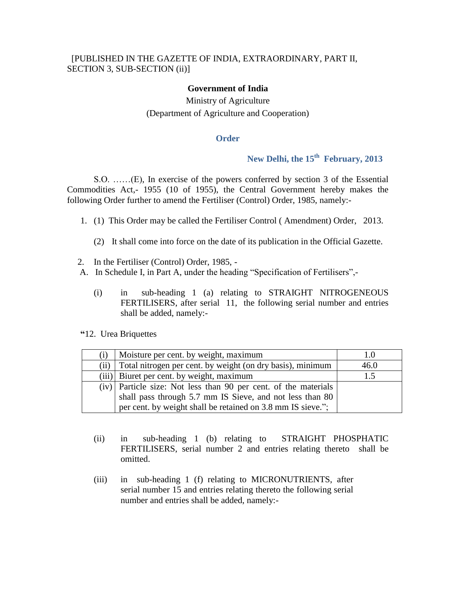### **Government of India**

# Ministry of Agriculture (Department of Agriculture and Cooperation)

#### **Order**

# **New Delhi, the 15th February, 2013**

S.O. ……(E), In exercise of the powers conferred by section 3 of the Essential Commodities Act,- 1955 (10 of 1955), the Central Government hereby makes the following Order further to amend the Fertiliser (Control) Order, 1985, namely:-

- 1. (1) This Order may be called the Fertiliser Control ( Amendment) Order, 2013.
	- (2) It shall come into force on the date of its publication in the Official Gazette.
- 2. In the Fertiliser (Control) Order, 1985, -
- A. In Schedule I, in Part A, under the heading "Specification of Fertilisers",-
	- (i) in sub-heading 1 (a) relating to STRAIGHT NITROGENEOUS FERTILISERS, after serial 11, the following serial number and entries shall be added, namely:-

 **"**12. Urea Briquettes

| (i)  | Moisture per cent. by weight, maximum                             | 1.0  |
|------|-------------------------------------------------------------------|------|
| (ii) | Total nitrogen per cent. by weight (on dry basis), minimum        | 46.0 |
|      | (iii) Biuret per cent. by weight, maximum                         |      |
|      | $(iv)$ Particle size: Not less than 90 per cent. of the materials |      |
|      | shall pass through 5.7 mm IS Sieve, and not less than 80          |      |
|      | per cent. by weight shall be retained on 3.8 mm IS sieve.";       |      |

- (ii) in sub-heading 1 (b) relating to STRAIGHT PHOSPHATIC FERTILISERS, serial number 2 and entries relating thereto shall be omitted.
- (iii) in sub-heading 1 (f) relating to MICRONUTRIENTS, after serial number 15 and entries relating thereto the following serial number and entries shall be added, namely:-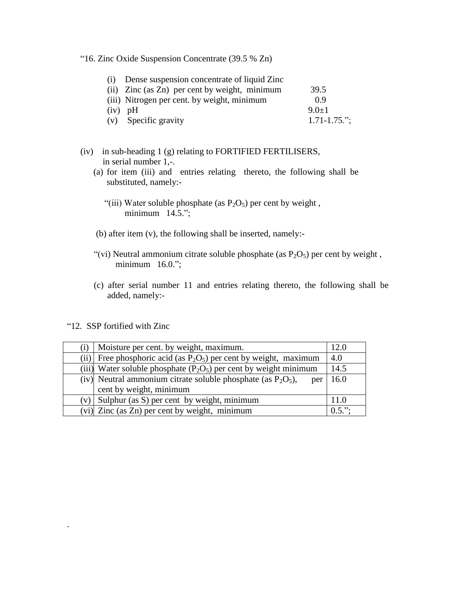"16. Zinc Oxide Suspension Concentrate (39.5 % Zn)

| (i) Dense suspension concentrate of liquid Zinc |                   |
|-------------------------------------------------|-------------------|
| (ii) Zinc (as Zn) per cent by weight, minimum   | 39.5              |
| (iii) Nitrogen per cent. by weight, minimum     | 0.9               |
| $(iv)$ pH                                       | $9.0+1$           |
| (v) Specific gravity                            | $1.71 - 1.75$ ."; |

- (iv) in sub-heading 1 (g) relating to FORTIFIED FERTILISERS, in serial number 1,-.
	- (a) for item (iii) and entries relating thereto, the following shall be substituted, namely:-
		- "(iii) Water soluble phosphate (as  $P_2O_5$ ) per cent by weight, minimum 14.5.";
	- (b) after item (v), the following shall be inserted, namely:-
	- "(vi) Neutral ammonium citrate soluble phosphate (as  $P_2O_5$ ) per cent by weight, minimum 16.0.";
	- (c) after serial number 11 and entries relating thereto, the following shall be added, namely:-

"12. SSP fortified with Zinc

.

|      | Moisture per cent. by weight, maximum.                                 | 12.0      |
|------|------------------------------------------------------------------------|-----------|
| (ii) | Free phosphoric acid (as $P_2O_5$ ) per cent by weight, maximum        | 4.0       |
|      | (iii) Water soluble phosphate $(P_2O_5)$ per cent by weight minimum    | 14.5      |
|      | (iv) Neutral ammonium citrate soluble phosphate (as $P_2O_5$ ),<br>per | 16.0      |
|      | cent by weight, minimum                                                |           |
|      | $(v)$ Sulphur (as S) per cent by weight, minimum                       | 11.0      |
|      | (vi) Zinc (as Zn) per cent by weight, minimum                          | $0.5$ ."; |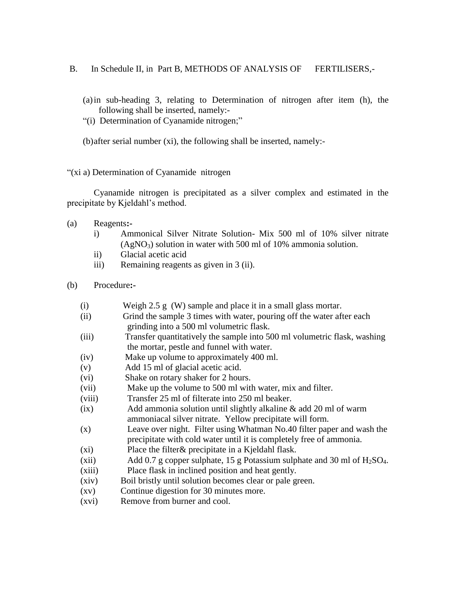- B. In Schedule II, in Part B, METHODS OF ANALYSIS OF FERTILISERS,-
	- (a)in sub-heading 3, relating to Determination of nitrogen after item (h), the following shall be inserted, namely:-
	- "(i) Determination of Cyanamide nitrogen;"
	- (b)after serial number (xi), the following shall be inserted, namely:-

"(xi a) Determination of Cyanamide nitrogen

Cyanamide nitrogen is precipitated as a silver complex and estimated in the precipitate by Kjeldahl's method.

- (a) Reagents**:**
	- i) Ammonical Silver Nitrate Solution- Mix 500 ml of 10% silver nitrate  $(AgNO_3)$  solution in water with 500 ml of 10% ammonia solution.
	- ii) Glacial acetic acid
	- iii) Remaining reagents as given in 3 (ii).
- (b) Procedure**:-**
	- (i) Weigh 2.5 g (W) sample and place it in a small glass mortar.
	- (ii) Grind the sample 3 times with water, pouring off the water after each grinding into a 500 ml volumetric flask.
	- (iii) Transfer quantitatively the sample into 500 ml volumetric flask, washing the mortar, pestle and funnel with water.
	- (iv) Make up volume to approximately 400 ml.
	- (v) Add 15 ml of glacial acetic acid.
	- (vi) Shake on rotary shaker for 2 hours.
	- (vii) Make up the volume to 500 ml with water, mix and filter.
	- (viii) Transfer 25 ml of filterate into 250 ml beaker.
	- (ix) Add ammonia solution until slightly alkaline & add 20 ml of warm ammoniacal silver nitrate. Yellow precipitate will form.
	- (x) Leave over night. Filter using Whatman No.40 filter paper and wash the precipitate with cold water until it is completely free of ammonia.
	- (xi) Place the filter& precipitate in a Kjeldahl flask.
	- (xii) Add 0.7 g copper sulphate, 15 g Potassium sulphate and 30 ml of  $H_2SO_4$ . (xiii) Place flask in inclined position and heat gently.
	- (xiv) Boil bristly until solution becomes clear or pale green.
	- (xv) Continue digestion for 30 minutes more.
	- (xvi) Remove from burner and cool.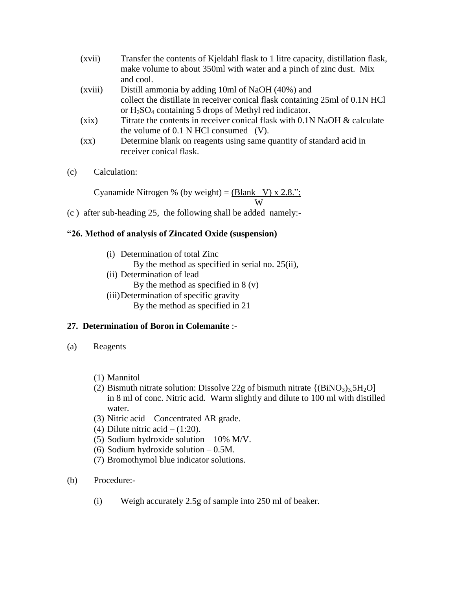| (xvii)             | Transfer the contents of Kjeldahl flask to 1 litre capacity, distillation flask,<br>make volume to about 350ml with water and a pinch of zinc dust. Mix<br>and cool. |
|--------------------|----------------------------------------------------------------------------------------------------------------------------------------------------------------------|
|                    |                                                                                                                                                                      |
| (xviii)            | Distill ammonia by adding 10ml of NaOH (40%) and                                                                                                                     |
|                    | collect the distillate in receiver conical flask containing 25ml of 0.1N HCl                                                                                         |
|                    | or $H_2SO_4$ containing 5 drops of Methyl red indicator.                                                                                                             |
| (xix)              | Titrate the contents in receiver conical flask with 0.1N NaOH & calculate                                                                                            |
|                    | the volume of $0.1$ N HCl consumed (V).                                                                                                                              |
| $\left( xx\right)$ | Determine blank on reagents using same quantity of standard acid in                                                                                                  |
|                    | receiver conical flask.                                                                                                                                              |

(c) Calculation:

Cyanamide Nitrogen % (by weight) =  $\underline{(Blank - V) \times 2.8."}$ ; W

(c ) after sub-heading 25, the following shall be added namely:-

### **"26. Method of analysis of Zincated Oxide (suspension)**

- (i) Determination of total Zinc By the method as specified in serial no. 25(ii),
- (ii) Determination of lead By the method as specified in  $8(y)$
- (iii)Determination of specific gravity

# By the method as specified in 21

### **27. Determination of Boron in Colemanite** :-

- (a) Reagents
	- (1) Mannitol
	- (2) Bismuth nitrate solution: Dissolve 22g of bismuth nitrate  $\{(\text{BiNO}_3)_3\,5\text{H}_2\text{O}\}$  in 8 ml of conc. Nitric acid. Warm slightly and dilute to 100 ml with distilled water.
	- (3) Nitric acid Concentrated AR grade.
	- (4) Dilute nitric acid  $(1:20)$ .
	- (5) Sodium hydroxide solution 10% M/V.
	- (6) Sodium hydroxide solution 0.5M.
	- (7) Bromothymol blue indicator solutions.
- (b) Procedure:-
	- (i) Weigh accurately 2.5g of sample into 250 ml of beaker.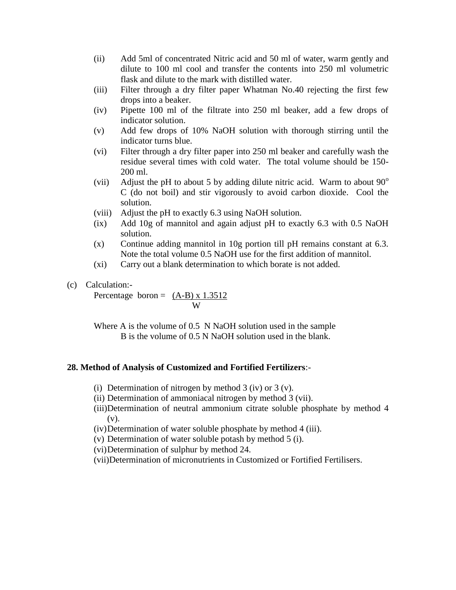- (ii) Add 5ml of concentrated Nitric acid and 50 ml of water, warm gently and dilute to 100 ml cool and transfer the contents into 250 ml volumetric flask and dilute to the mark with distilled water.
- (iii) Filter through a dry filter paper Whatman No.40 rejecting the first few drops into a beaker.
- (iv) Pipette 100 ml of the filtrate into 250 ml beaker, add a few drops of indicator solution.
- (v) Add few drops of 10% NaOH solution with thorough stirring until the indicator turns blue.
- (vi) Filter through a dry filter paper into 250 ml beaker and carefully wash the residue several times with cold water. The total volume should be 150- 200 ml.
- (vii) Adjust the pH to about 5 by adding dilute nitric acid. Warm to about  $90^{\circ}$ C (do not boil) and stir vigorously to avoid carbon dioxide. Cool the solution.
- (viii) Adjust the pH to exactly 6.3 using NaOH solution.
- (ix) Add 10g of mannitol and again adjust pH to exactly 6.3 with 0.5 NaOH solution.
- (x) Continue adding mannitol in 10g portion till pH remains constant at 6.3. Note the total volume 0.5 NaOH use for the first addition of mannitol.
- (xi) Carry out a blank determination to which borate is not added.

### (c) Calculation:-

Percentage boron =  $(A-B) \times 1.3512$ W

Where A is the volume of 0.5 N NaOH solution used in the sample B is the volume of 0.5 N NaOH solution used in the blank.

### **28. Method of Analysis of Customized and Fortified Fertilizers**:-

- (i) Determination of nitrogen by method 3 (iv) or 3 (v).
- (ii) Determination of ammoniacal nitrogen by method 3 (vii).
- (iii)Determination of neutral ammonium citrate soluble phosphate by method 4 (v).
- (iv)Determination of water soluble phosphate by method 4 (iii).
- (v) Determination of water soluble potash by method 5 (i).
- (vi)Determination of sulphur by method 24.
- (vii)Determination of micronutrients in Customized or Fortified Fertilisers.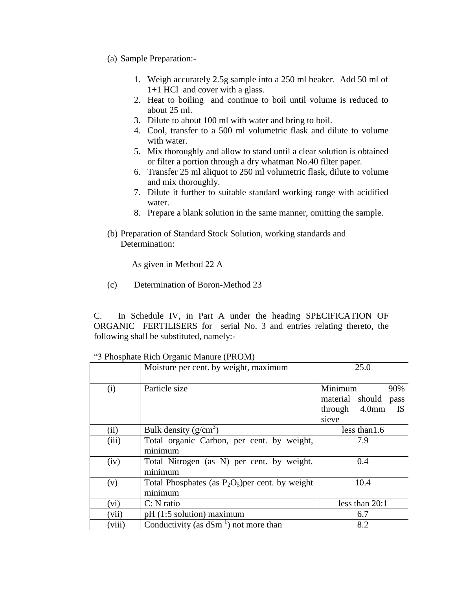- (a) Sample Preparation:-
	- 1. Weigh accurately 2.5g sample into a 250 ml beaker. Add 50 ml of 1+1 HCl and cover with a glass.
	- 2. Heat to boiling and continue to boil until volume is reduced to about 25 ml.
	- 3. Dilute to about 100 ml with water and bring to boil.
	- 4. Cool, transfer to a 500 ml volumetric flask and dilute to volume with water.
	- 5. Mix thoroughly and allow to stand until a clear solution is obtained or filter a portion through a dry whatman No.40 filter paper.
	- 6. Transfer 25 ml aliquot to 250 ml volumetric flask, dilute to volume and mix thoroughly.
	- 7. Dilute it further to suitable standard working range with acidified water.
	- 8. Prepare a blank solution in the same manner, omitting the sample.
- (b) Preparation of Standard Stock Solution, working standards and Determination:

As given in Method 22 A

(c) Determination of Boron-Method 23

C. In Schedule IV, in Part A under the heading SPECIFICATION OF ORGANIC FERTILISERS for serial No. 3 and entries relating thereto, the following shall be substituted, namely:-

|        | Moisture per cent. by weight, maximum                          | 25.0                                                                      |
|--------|----------------------------------------------------------------|---------------------------------------------------------------------------|
| (i)    | Particle size                                                  | Minimum<br>90%<br>material should<br>pass<br>through 4.0mm<br>IS<br>sieve |
| (ii)   | Bulk density $(g/cm3)$                                         | less than 1.6                                                             |
| (iii)  | Total organic Carbon, per cent. by weight,<br>minimum          | 7.9                                                                       |
| (iv)   | Total Nitrogen (as N) per cent. by weight,<br>minimum          | 0.4                                                                       |
| (v)    | Total Phosphates (as $P_2O_5$ ) per cent. by weight<br>minimum | 10.4                                                                      |
| (vi)   | $C: N$ ratio                                                   | less than $20:1$                                                          |
| (vii)  | pH (1:5 solution) maximum                                      | 6.7                                                                       |
| (viii) | Conductivity (as $dSm^{-1}$ ) not more than                    | 8.2                                                                       |

"3 Phosphate Rich Organic Manure (PROM)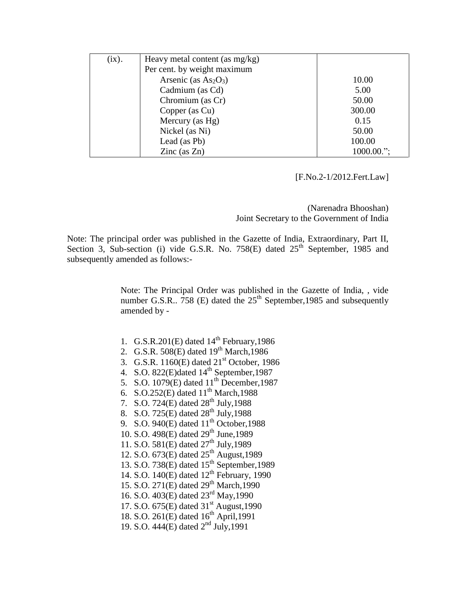| (ix). | Heavy metal content (as $mg/kg$ ) |               |
|-------|-----------------------------------|---------------|
|       | Per cent. by weight maximum       |               |
|       | Arsenic (as $As2O3$ )             | 10.00         |
|       | Cadmium (as Cd)                   | 5.00          |
|       | Chromium (as Cr)                  | 50.00         |
|       | Copper (as Cu)                    | 300.00        |
|       | Mercury (as Hg)                   | 0.15          |
|       | Nickel (as Ni)                    | 50.00         |
|       | Lead (as Pb)                      | 100.00        |
|       | Zinc $(as Zn)$                    | $1000.00$ ."; |

[F.No.2-1/2012.Fert.Law]

(Narenadra Bhooshan) Joint Secretary to the Government of India

Note: The principal order was published in the Gazette of India, Extraordinary, Part II, Section 3, Sub-section (i) vide G.S.R. No. 758 $(E)$  dated  $25<sup>th</sup>$  September, 1985 and subsequently amended as follows:-

> Note: The Principal Order was published in the Gazette of India, , vide number G.S.R.. 758 (E) dated the  $25<sup>th</sup>$  September, 1985 and subsequently amended by -

- 1. G.S.R.201 $(E)$  dated  $14<sup>th</sup>$  February, 1986
- 2. G.S.R. 508(E) dated  $19^{th}$  March, 1986
- 3. G.S.R.  $1160(E)$  dated  $21<sup>st</sup>$  October, 1986
- 4. S.O. 822(E)dated 14<sup>th</sup> September, 1987
- 5. S.O.  $1079(E)$  dated  $11^{th}$  December, 1987
- 6. S.O.252(E) dated  $11^{th}$  March, 1988
- 7. S.O. 724(E) dated 28<sup>th</sup> July, 1988
- 8. S.O. 725(E) dated 28<sup>th</sup> July, 1988
- 9. S.O. 940 $(E)$  dated  $11<sup>th</sup>$  October, 1988
- 10. S.O. 498(E) dated 29<sup>th</sup> June, 1989
- 11. S.O. 581(E) dated 27<sup>th</sup> July, 1989
- 12. S.O.  $673(E)$  dated  $25^{th}$  August, 1989
- 13. S.O. 738(E) dated 15<sup>th</sup> September, 1989
- 14. S.O.  $140(E)$  dated  $12<sup>th</sup>$  February, 1990
- 15. S.O. 271(E) dated 29<sup>th</sup> March,1990
- 16. S.O. 403(E) dated 23rd May,1990
- 17. S.O.  $675(E)$  dated  $31<sup>st</sup>$  August, 1990
- 18. S.O. 261(E) dated  $16^{th}$  April, 1991
- 19. S.O. 444(E) dated 2nd July,1991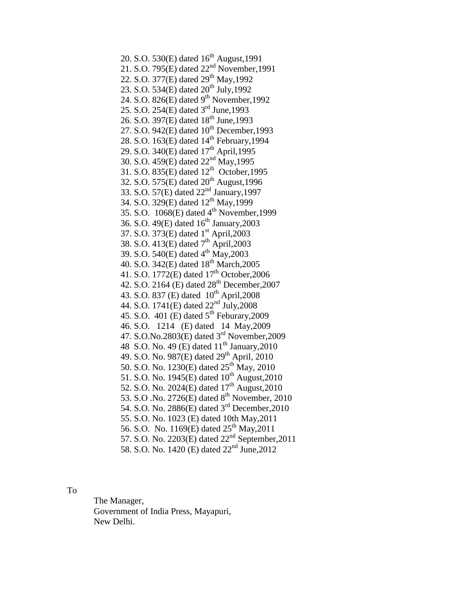20. S.O. 530 $(E)$  dated 16<sup>th</sup> August, 1991 21. S.O. 795(E) dated 22<sup>nd</sup> November, 1991 22. S.O. 377(E) dated 29<sup>th</sup> May, 1992 23. S.O. 534(E) dated  $20^{th}$  July, 1992 24. S.O. 826 $(E)$  dated 9<sup>th</sup> November, 1992 25. S.O. 254(E) dated 3rd June,1993 26. S.O. 397(E) dated 18<sup>th</sup> June, 1993 27. S.O. 942(E) dated 10<sup>th</sup> December, 1993 28. S.O. 163(E) dated 14<sup>th</sup> February, 1994 29. S.O. 340(E) dated 17<sup>th</sup> April, 1995 30. S.O. 459(E) dated 22nd May,1995 31. S.O.  $835(E)$  dated  $12<sup>th</sup>$  October, 1995 32. S.O.  $575(E)$  dated  $20^{th}$  August, 1996 33. S.O. 57(E) dated 22nd January,1997 34. S.O. 329(E) dated 12<sup>th</sup> May, 1999 35. S.O. 1068(E) dated 4 th November,1999 36. S.O. 49 $(E)$  dated 16<sup>th</sup> January, 2003 37. S.O. 373(E) dated 1<sup>st</sup> April, 2003 38. S.O. 413(E) dated  $7^{th}$  April, 2003 39. S.O. 540(E) dated 4<sup>th</sup> May, 2003 40. S.O. 342(E) dated 18<sup>th</sup> March, 2005 41. S.O. 1772(E) dated  $17<sup>th</sup>$  October, 2006 42. S.O. 2164 (E) dated  $28^{th}$  December, 2007 43. S.O. 837 (E) dated 10<sup>th</sup> April, 2008 44. S.O. 1741(E) dated  $22<sup>nd</sup>$  July, 2008 45. S.O. 401 (E) dated  $5<sup>th</sup>$  Feburary, 2009 46. S.O. 1214 (E) dated 14 May,2009 47. S.O.No.2803(E) dated 3rd November,2009 48 S.O. No. 49 (E) dated  $11^{th}$  January, 2010 49. S.O. No. 987(E) dated  $29^{th}$  April, 2010 50. S.O. No. 1230(E) dated  $25^{th}$  May, 2010 51. S.O. No. 1945(E) dated  $10^{th}$  August, 2010 52. S.O. No. 2024(E) dated  $17^{th}$  August, 2010 53. S.O .No. 2726(E) dated 8<sup>th</sup> November, 2010 54. S.O. No. 2886(E) dated 3<sup>rd</sup> December, 2010 55. S.O. No. 1023 (E) dated 10th May,2011 56. S.O. No. 1169(E) dated  $25<sup>th</sup>$  May, 2011 57. S.O. No. 2203 $(E)$  dated 22<sup>nd</sup> September, 2011 58. S.O. No. 1420 (E) dated 22<sup>nd</sup> June, 2012

To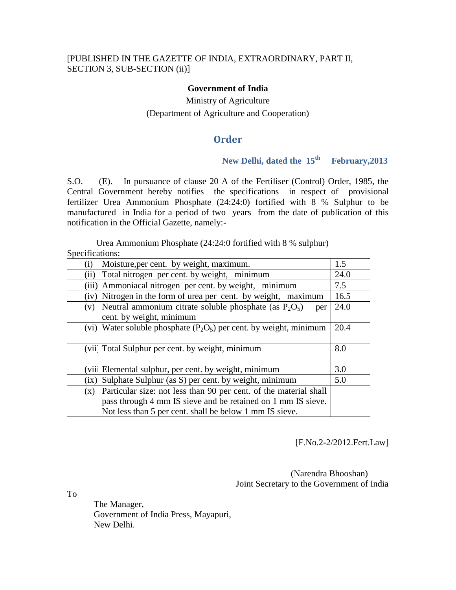#### **Government of India**

# Ministry of Agriculture (Department of Agriculture and Cooperation)

## **Order**

## **New Delhi, dated the 15th February,2013**

S.O. (E). – In pursuance of clause 20 A of the Fertiliser (Control) Order, 1985, the Central Government hereby notifies the specifications in respect of provisional fertilizer Urea Ammonium Phosphate (24:24:0) fortified with 8 % Sulphur to be manufactured in India for a period of two years from the date of publication of this notification in the Official Gazette, namely:-

Urea Ammonium Phosphate (24:24:0 fortified with 8 % sulphur) Specifications:

| $\rm(i)$ | Moisture, per cent. by weight, maximum.                              | 1.5  |
|----------|----------------------------------------------------------------------|------|
| (ii)     | Total nitrogen per cent. by weight, minimum                          | 24.0 |
|          | (iii) Ammoniacal nitrogen per cent. by weight, minimum               | 7.5  |
| (iv)     | Nitrogen in the form of urea per cent. by weight, maximum            | 16.5 |
| (v)      | Neutral ammonium citrate soluble phosphate (as $P_2O_5$ )<br>per     | 24.0 |
|          | cent. by weight, minimum                                             |      |
|          | (vi) Water soluble phosphate $(P_2O_5)$ per cent. by weight, minimum | 20.4 |
|          |                                                                      |      |
|          | (vii) Total Sulphur per cent. by weight, minimum                     | 8.0  |
|          |                                                                      |      |
| (viil    | Elemental sulphur, per cent. by weight, minimum                      | 3.0  |
| (ix)     | Sulphate Sulphur (as S) per cent. by weight, minimum                 | 5.0  |
| (x)      | Particular size: not less than 90 per cent. of the material shall    |      |
|          | pass through 4 mm IS sieve and be retained on 1 mm IS sieve.         |      |
|          | Not less than 5 per cent. shall be below 1 mm IS sieve.              |      |

[F.No.2-2/2012.Fert.Law]

 (Narendra Bhooshan) Joint Secretary to the Government of India

To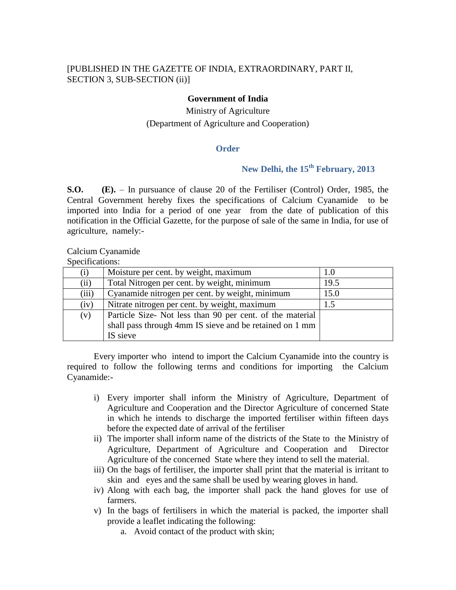#### **Government of India**

# Ministry of Agriculture (Department of Agriculture and Cooperation)

#### **Order**

# **New Delhi, the 15th February, 2013**

**S.O. (E).** – In pursuance of clause 20 of the Fertiliser (Control) Order, 1985, the Central Government hereby fixes the specifications of Calcium Cyanamide to be imported into India for a period of one year from the date of publication of this notification in the Official Gazette, for the purpose of sale of the same in India, for use of agriculture, namely:-

#### Calcium Cyanamide

Specifications:

| (i)   | Moisture per cent. by weight, maximum                     | 1.0  |
|-------|-----------------------------------------------------------|------|
| (ii)  | Total Nitrogen per cent. by weight, minimum               | 19.5 |
| (iii) | Cyanamide nitrogen per cent. by weight, minimum           | 15.0 |
| (iv)  | Nitrate nitrogen per cent. by weight, maximum             | 1.5  |
| (v)   | Particle Size- Not less than 90 per cent. of the material |      |
|       | shall pass through 4mm IS sieve and be retained on 1 mm   |      |
|       | IS sieve                                                  |      |

Every importer who intend to import the Calcium Cyanamide into the country is required to follow the following terms and conditions for importing the Calcium Cyanamide:-

- i) Every importer shall inform the Ministry of Agriculture, Department of Agriculture and Cooperation and the Director Agriculture of concerned State in which he intends to discharge the imported fertiliser within fifteen days before the expected date of arrival of the fertiliser
- ii) The importer shall inform name of the districts of the State to the Ministry of Agriculture, Department of Agriculture and Cooperation and Director Agriculture of the concerned State where they intend to sell the material.
- iii) On the bags of fertiliser, the importer shall print that the material is irritant to skin and eyes and the same shall be used by wearing gloves in hand.
- iv) Along with each bag, the importer shall pack the hand gloves for use of farmers.
- v) In the bags of fertilisers in which the material is packed, the importer shall provide a leaflet indicating the following:
	- a. Avoid contact of the product with skin;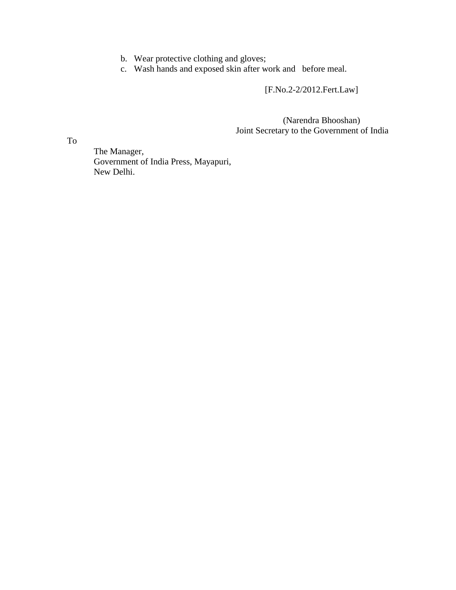- b. Wear protective clothing and gloves;
- c. Wash hands and exposed skin after work and before meal.

[F.No.2-2/2012.Fert.Law]

 (Narendra Bhooshan) Joint Secretary to the Government of India

To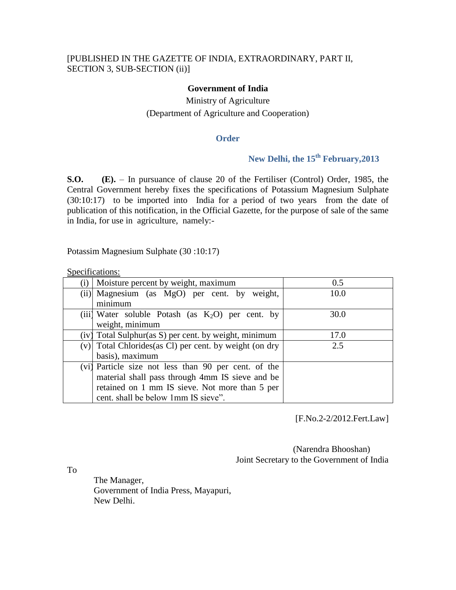#### **Government of India**

# Ministry of Agriculture (Department of Agriculture and Cooperation)

#### **Order**

# **New Delhi, the 15 th February,2013**

**S.O. (E).** – In pursuance of clause 20 of the Fertiliser (Control) Order, 1985, the Central Government hereby fixes the specifications of Potassium Magnesium Sulphate (30:10:17) to be imported into India for a period of two years from the date of publication of this notification, in the Official Gazette, for the purpose of sale of the same in India, for use in agriculture, namely:-

Potassim Magnesium Sulphate (30 :10:17)

Specifications:

| (i) | Moisture percent by weight, maximum                   | 0.5  |
|-----|-------------------------------------------------------|------|
|     | (ii) Magnesium (as MgO) per cent. by weight,          | 10.0 |
|     | minimum                                               |      |
|     | (iii) Water soluble Potash (as $K_2O$ ) per cent. by  | 30.0 |
|     | weight, minimum                                       |      |
|     | (iv) Total Sulphur(as S) per cent. by weight, minimum | 17.0 |
| (v) | Total Chlorides (as Cl) per cent. by weight (on dry   | 2.5  |
|     | basis), maximum                                       |      |
|     | (vi) Particle size not less than 90 per cent. of the  |      |
|     | material shall pass through 4mm IS sieve and be       |      |
|     | retained on 1 mm IS sieve. Not more than 5 per        |      |
|     | cent. shall be below 1mm IS sieve".                   |      |

[F.No.2-2/2012.Fert.Law]

 (Narendra Bhooshan) Joint Secretary to the Government of India

To